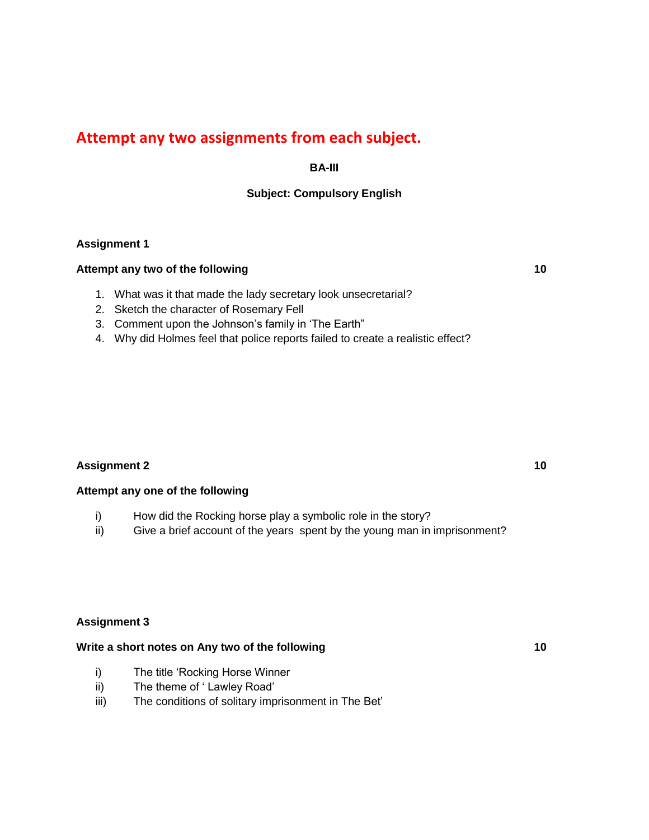# **Attempt any two assignments from each subject.**

## **BA-III**

## **Subject: Compulsory English**

#### **Assignment 1**

#### **Attempt any two of the following 10**

- 1. What was it that made the lady secretary look unsecretarial?
- 2. Sketch the character of Rosemary Fell
- 3. Comment upon the Johnson's family in 'The Earth"
- 4. Why did Holmes feel that police reports failed to create a realistic effect?

#### **Assignment 2 10**

#### **Attempt any one of the following**

- i) How did the Rocking horse play a symbolic role in the story?
- ii) Give a brief account of the years spent by the young man in imprisonment?

#### **Assignment 3**

#### Write a short notes on Any two of the following **10** and the short notes on Any two of the following

- i) The title 'Rocking Horse Winner
- ii) The theme of ' Lawley Road'
- iii) The conditions of solitary imprisonment in The Bet'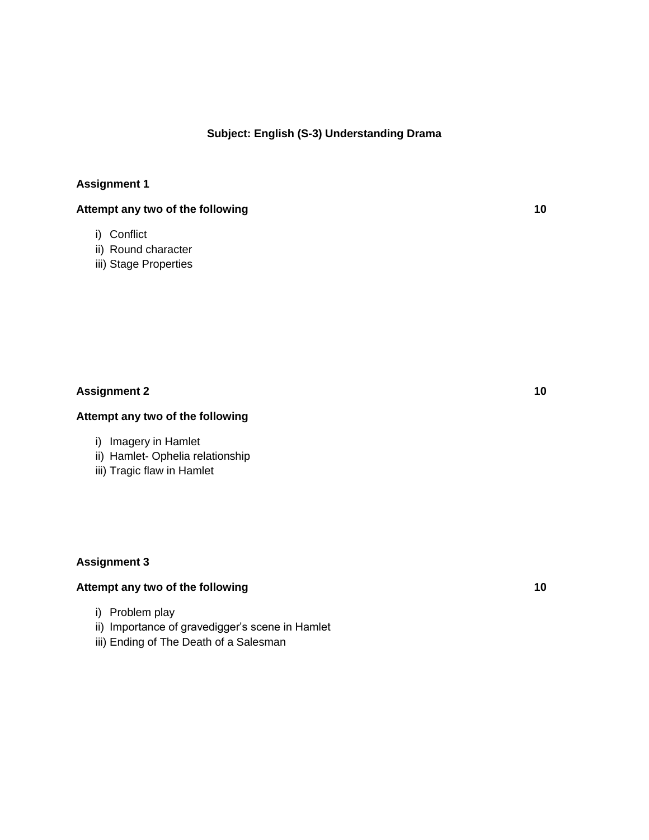#### **Subject: English (S-3) Understanding Drama**

## **Assignment 1**

## **Attempt any two of the following 10**

- i) Conflict
- ii) Round character
- iii) Stage Properties

#### **Assignment 2 10**

## **Attempt any two of the following**

- i) Imagery in Hamlet
- ii) Hamlet- Ophelia relationship
- iii) Tragic flaw in Hamlet

### **Assignment 3**

## Attempt any two of the following **10**

- i) Problem play
- ii) Importance of gravedigger's scene in Hamlet
- iii) Ending of The Death of a Salesman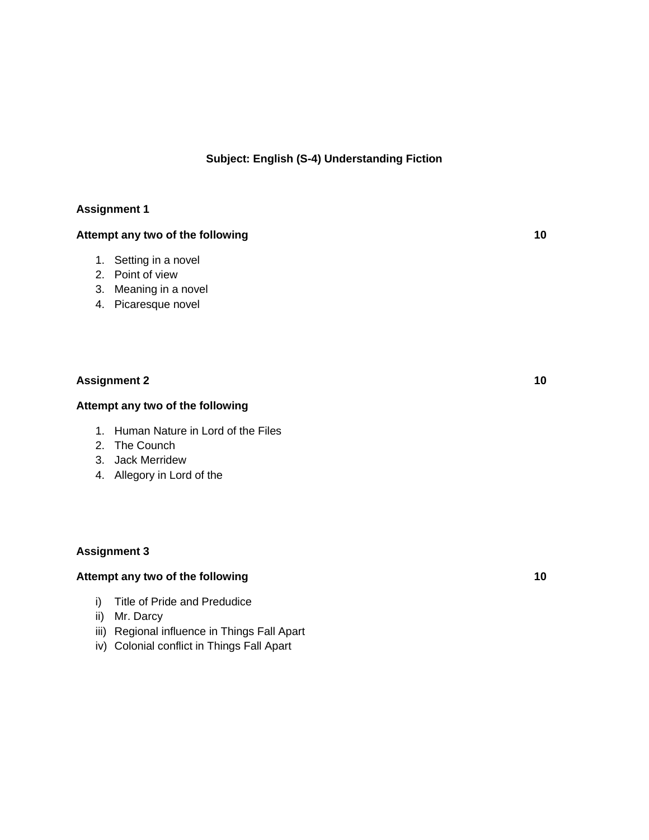## **Subject: English (S-4) Understanding Fiction**

## **Assignment 1**

## **Attempt any two of the following 10**

- 1. Setting in a novel
- 2. Point of view
- 3. Meaning in a novel
- 4. Picaresque novel

## **Assignment 2 10**

#### **Attempt any two of the following**

- 1. Human Nature in Lord of the Files
- 2. The Counch
- 3. Jack Merridew
- 4. Allegory in Lord of the

### **Assignment 3**

### Attempt any two of the following **10** and the set of the following **10**

- i) Title of Pride and Predudice
- ii) Mr. Darcy
- iii) Regional influence in Things Fall Apart
- iv) Colonial conflict in Things Fall Apart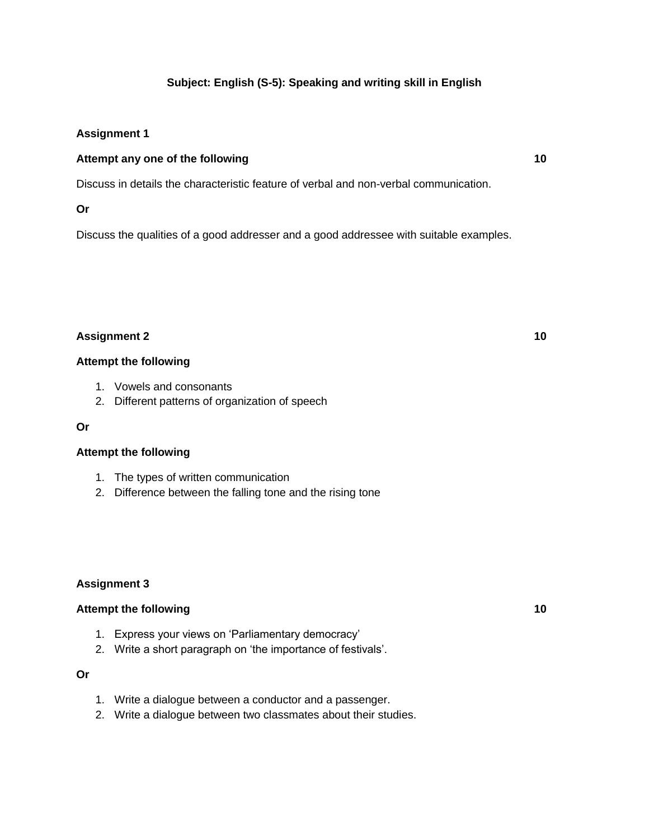## **Subject: English (S-5): Speaking and writing skill in English**

## **Assignment 1**

## **Attempt any one of the following 10**

Discuss in details the characteristic feature of verbal and non-verbal communication.

#### **Or**

Discuss the qualities of a good addresser and a good addressee with suitable examples.

## **Assignment 2 10**

#### **Attempt the following**

- 1. Vowels and consonants
- 2. Different patterns of organization of speech

#### **Or**

## **Attempt the following**

- 1. The types of written communication
- 2. Difference between the falling tone and the rising tone

## **Assignment 3**

## Attempt the following 10

- 1. Express your views on 'Parliamentary democracy'
- 2. Write a short paragraph on 'the importance of festivals'.

#### **Or**

- 1. Write a dialogue between a conductor and a passenger.
- 2. Write a dialogue between two classmates about their studies.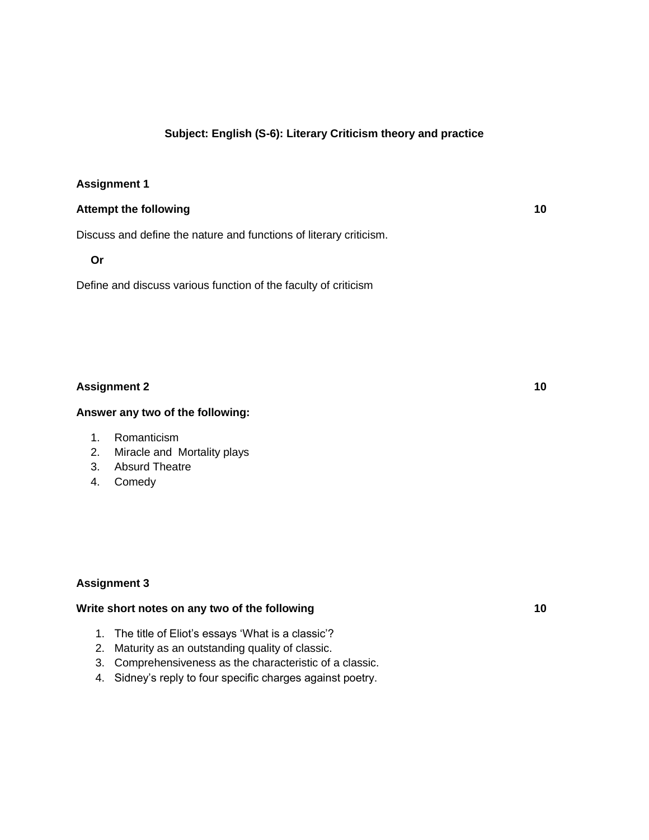## **Subject: English (S-6): Literary Criticism theory and practice**

#### **Assignment 1**

#### **Attempt the following 10**

Discuss and define the nature and functions of literary criticism.

#### **Or**

Define and discuss various function of the faculty of criticism

### **Assignment 2 10**

#### **Answer any two of the following:**

- 1. Romanticism
- 2. Miracle and Mortality plays
- 3. Absurd Theatre
- 4. Comedy

#### **Assignment 3**

#### Write short notes on any two of the following **10** and the short notes on any two of the following

- 1. The title of Eliot's essays 'What is a classic'?
- 2. Maturity as an outstanding quality of classic.
- 3. Comprehensiveness as the characteristic of a classic.
- 4. Sidney's reply to four specific charges against poetry.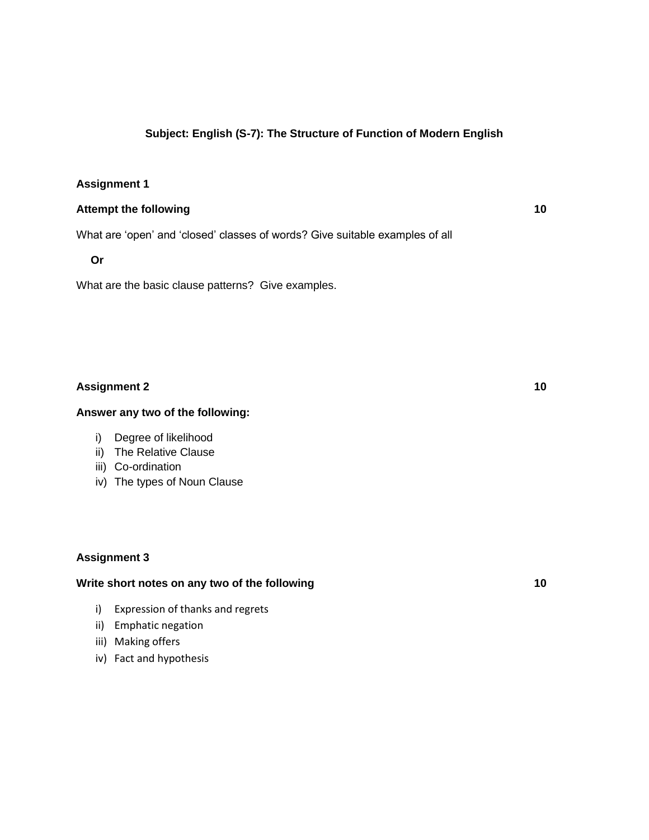## **Subject: English (S-7): The Structure of Function of Modern English**

#### **Assignment 1**

#### **Attempt the following 10**

What are 'open' and 'closed' classes of words? Give suitable examples of all

**Or**

What are the basic clause patterns? Give examples.

## **Assignment 2 10**

#### **Answer any two of the following:**

- i) Degree of likelihood
- ii) The Relative Clause
- iii) Co-ordination
- iv) The types of Noun Clause

#### **Assignment 3**

#### Write short notes on any two of the following **10**

- i) Expression of thanks and regrets
- ii) Emphatic negation
- iii) Making offers
- iv) Fact and hypothesis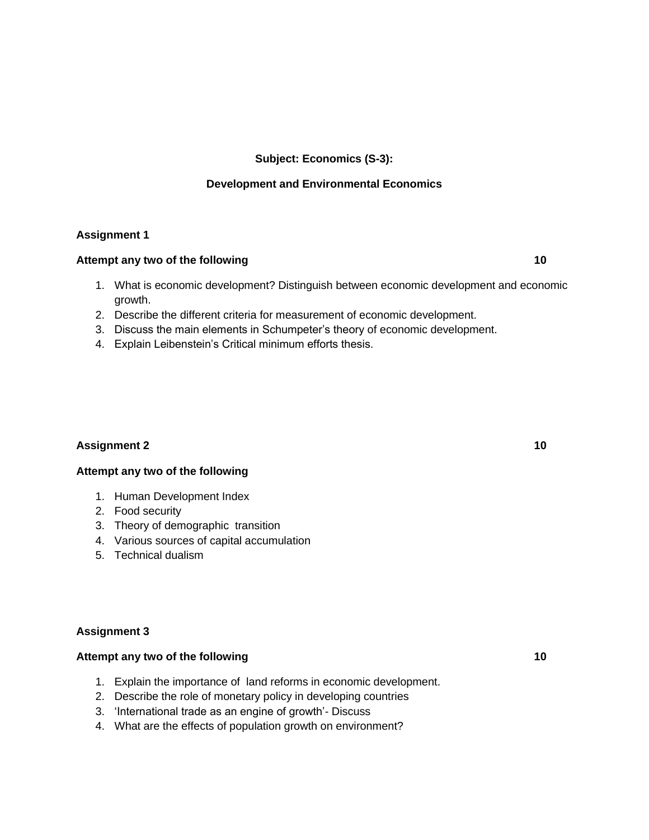## **Subject: Economics (S-3):**

### **Development and Environmental Economics**

#### **Assignment 1**

#### **Attempt any two of the following 10**

- 1. What is economic development? Distinguish between economic development and economic growth.
- 2. Describe the different criteria for measurement of economic development.
- 3. Discuss the main elements in Schumpeter's theory of economic development.
- 4. Explain Leibenstein's Critical minimum efforts thesis.

## **Assignment 2 10**

#### **Attempt any two of the following**

- 1. Human Development Index
- 2. Food security
- 3. Theory of demographic transition
- 4. Various sources of capital accumulation
- 5. Technical dualism

#### **Assignment 3**

### Attempt any two of the following **10**

- 1. Explain the importance of land reforms in economic development.
- 2. Describe the role of monetary policy in developing countries
- 3. 'International trade as an engine of growth'- Discuss
- 4. What are the effects of population growth on environment?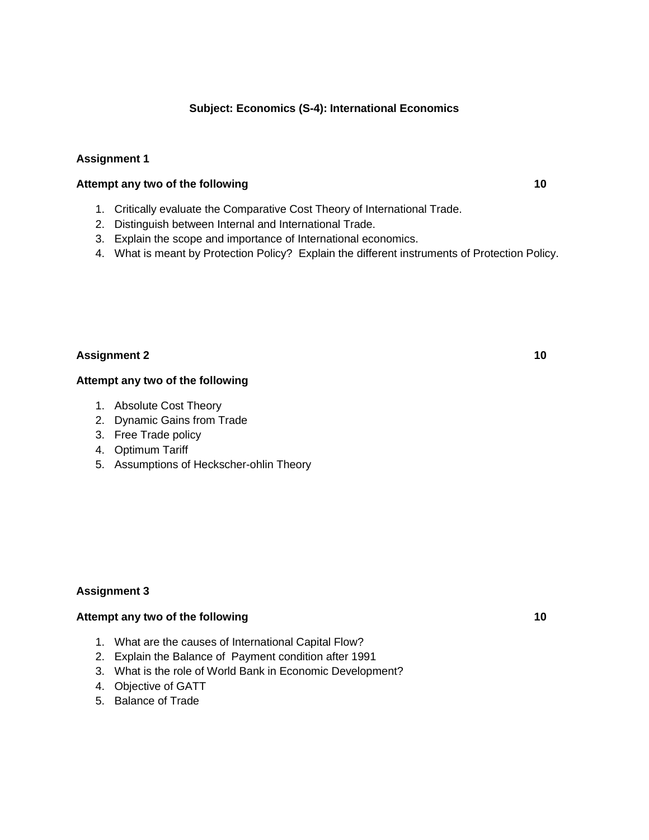## **Subject: Economics (S-4): International Economics**

### **Assignment 1**

### **Attempt any two of the following 10**

- 1. Critically evaluate the Comparative Cost Theory of International Trade.
- 2. Distinguish between Internal and International Trade.
- 3. Explain the scope and importance of International economics.
- 4. What is meant by Protection Policy? Explain the different instruments of Protection Policy.

#### **Assignment 2 10**

#### **Attempt any two of the following**

- 1. Absolute Cost Theory
- 2. Dynamic Gains from Trade
- 3. Free Trade policy
- 4. Optimum Tariff
- 5. Assumptions of Heckscher-ohlin Theory

#### **Assignment 3**

#### Attempt any two of the following **10** and the following **10** and the set of the set of the set of the set of the set of the set of the set of the set of the set of the set of the set of the set of the set of the set of the

- 1. What are the causes of International Capital Flow?
- 2. Explain the Balance of Payment condition after 1991
- 3. What is the role of World Bank in Economic Development?
- 4. Objective of GATT
- 5. Balance of Trade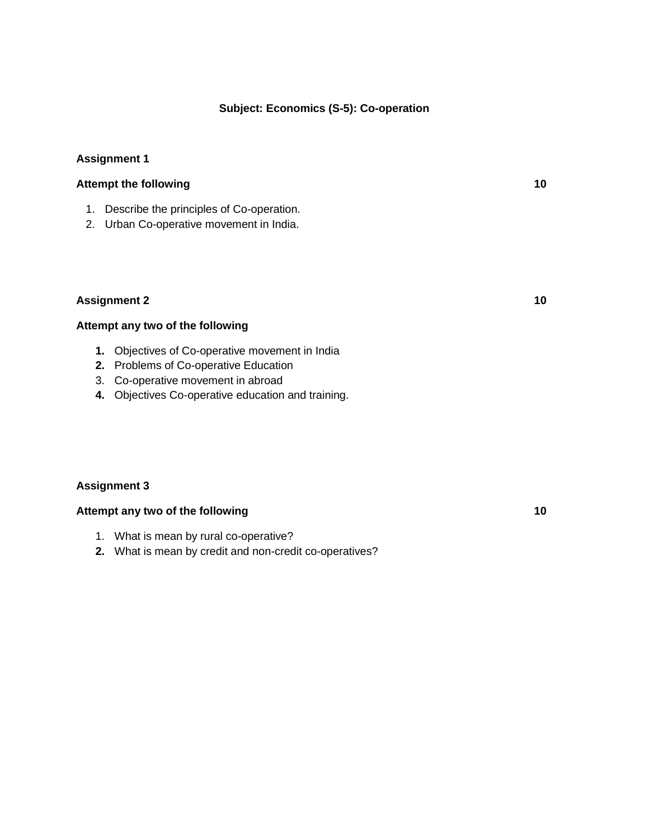#### **Subject: Economics (S-5): Co-operation**

### **Assignment 1**

## **Attempt the following 10**

- 1. Describe the principles of Co-operation.
- 2. Urban Co-operative movement in India.

#### **Assignment 2 10**

#### **Attempt any two of the following**

- **1.** Objectives of Co-operative movement in India
- **2.** Problems of Co-operative Education
- 3. Co-operative movement in abroad
- **4.** Objectives Co-operative education and training.

#### **Assignment 3**

### **Attempt any two of the following 10**

- 1. What is mean by rural co-operative?
- **2.** What is mean by credit and non-credit co-operatives?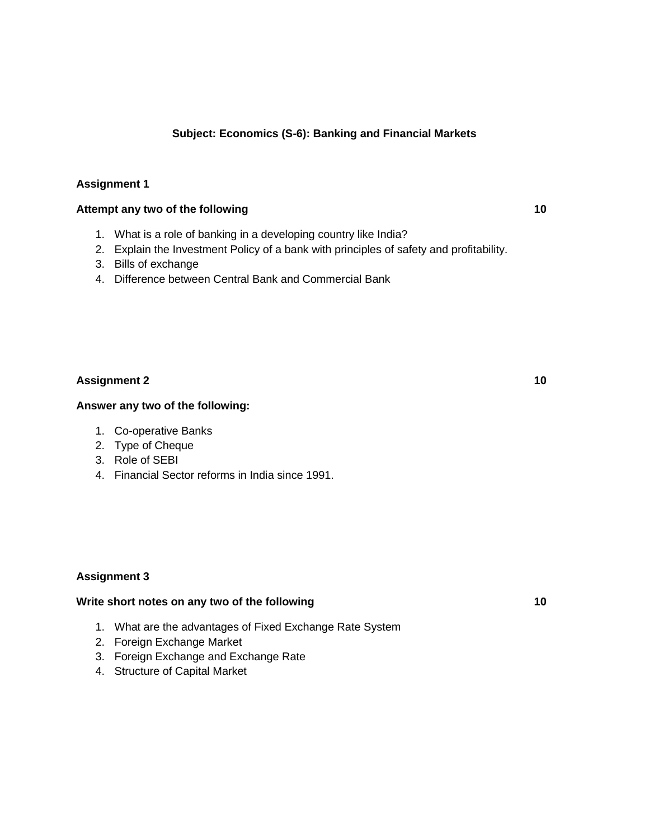### **Subject: Economics (S-6): Banking and Financial Markets**

## **Assignment 1**

#### **Attempt any two of the following 10**

- 1. What is a role of banking in a developing country like India?
- 2. Explain the Investment Policy of a bank with principles of safety and profitability.
- 3. Bills of exchange
- 4. Difference between Central Bank and Commercial Bank

## **Assignment 2 10**

#### **Answer any two of the following:**

- 1. Co-operative Banks
- 2. Type of Cheque
- 3. Role of SEBI
- 4. Financial Sector reforms in India since 1991.

#### **Assignment 3**

### Write short notes on any two of the following **10** and the short notes on any two of the following

- 1. What are the advantages of Fixed Exchange Rate System
- 2. Foreign Exchange Market
- 3. Foreign Exchange and Exchange Rate
- 4. Structure of Capital Market